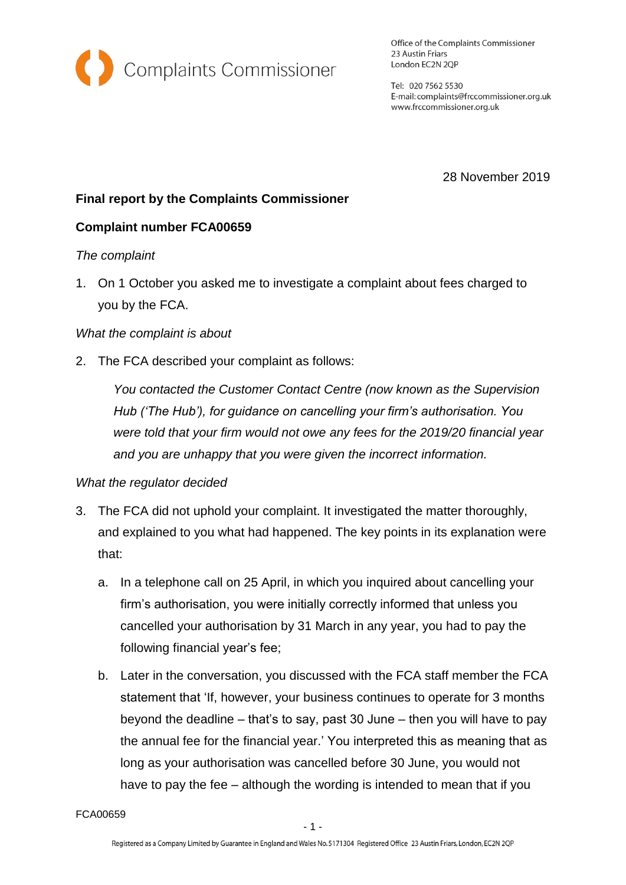

Office of the Complaints Commissioner 23 Austin Friars London EC2N 2QP

Tel: 020 7562 5530 E-mail: complaints@frccommissioner.org.uk www.frccommissioner.org.uk

28 November 2019

# **Final report by the Complaints Commissioner**

## **Complaint number FCA00659**

#### *The complaint*

1. On 1 October you asked me to investigate a complaint about fees charged to you by the FCA.

#### *What the complaint is about*

2. The FCA described your complaint as follows:

*You contacted the Customer Contact Centre (now known as the Supervision Hub ('The Hub'), for guidance on cancelling your firm's authorisation. You were told that your firm would not owe any fees for the 2019/20 financial year and you are unhappy that you were given the incorrect information.*

#### *What the regulator decided*

- 3. The FCA did not uphold your complaint. It investigated the matter thoroughly, and explained to you what had happened. The key points in its explanation were that:
	- a. In a telephone call on 25 April, in which you inquired about cancelling your firm's authorisation, you were initially correctly informed that unless you cancelled your authorisation by 31 March in any year, you had to pay the following financial year's fee;
	- b. Later in the conversation, you discussed with the FCA staff member the FCA statement that 'If, however, your business continues to operate for 3 months beyond the deadline – that's to say, past 30 June – then you will have to pay the annual fee for the financial year.' You interpreted this as meaning that as long as your authorisation was cancelled before 30 June, you would not have to pay the fee – although the wording is intended to mean that if you

FCA00659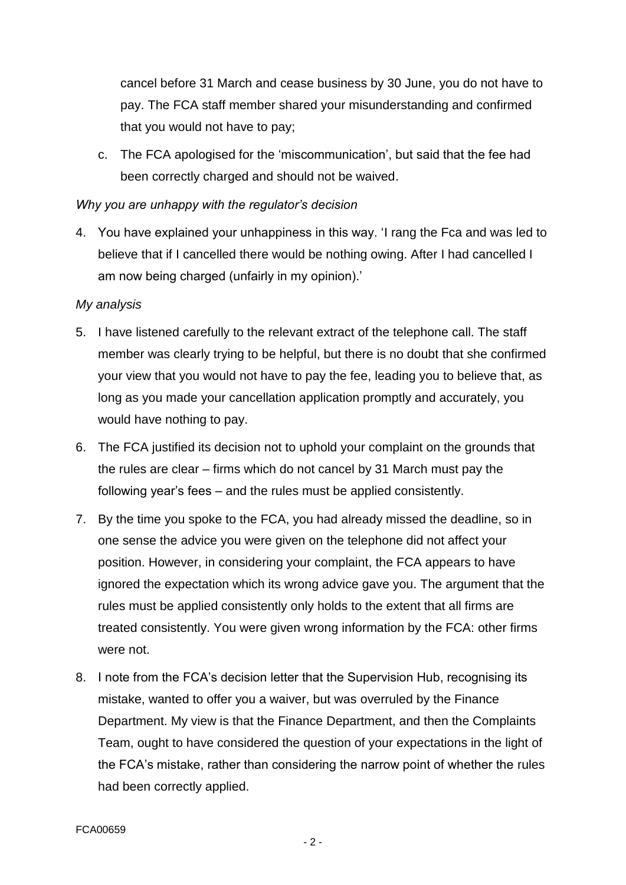cancel before 31 March and cease business by 30 June, you do not have to pay. The FCA staff member shared your misunderstanding and confirmed that you would not have to pay;

c. The FCA apologised for the 'miscommunication', but said that the fee had been correctly charged and should not be waived.

#### *Why you are unhappy with the regulator's decision*

4. You have explained your unhappiness in this way. 'I rang the Fca and was led to believe that if I cancelled there would be nothing owing. After I had cancelled I am now being charged (unfairly in my opinion).'

#### *My analysis*

- 5. I have listened carefully to the relevant extract of the telephone call. The staff member was clearly trying to be helpful, but there is no doubt that she confirmed your view that you would not have to pay the fee, leading you to believe that, as long as you made your cancellation application promptly and accurately, you would have nothing to pay.
- 6. The FCA justified its decision not to uphold your complaint on the grounds that the rules are clear – firms which do not cancel by 31 March must pay the following year's fees – and the rules must be applied consistently.
- 7. By the time you spoke to the FCA, you had already missed the deadline, so in one sense the advice you were given on the telephone did not affect your position. However, in considering your complaint, the FCA appears to have ignored the expectation which its wrong advice gave you. The argument that the rules must be applied consistently only holds to the extent that all firms are treated consistently. You were given wrong information by the FCA: other firms were not.
- 8. I note from the FCA's decision letter that the Supervision Hub, recognising its mistake, wanted to offer you a waiver, but was overruled by the Finance Department. My view is that the Finance Department, and then the Complaints Team, ought to have considered the question of your expectations in the light of the FCA's mistake, rather than considering the narrow point of whether the rules had been correctly applied.